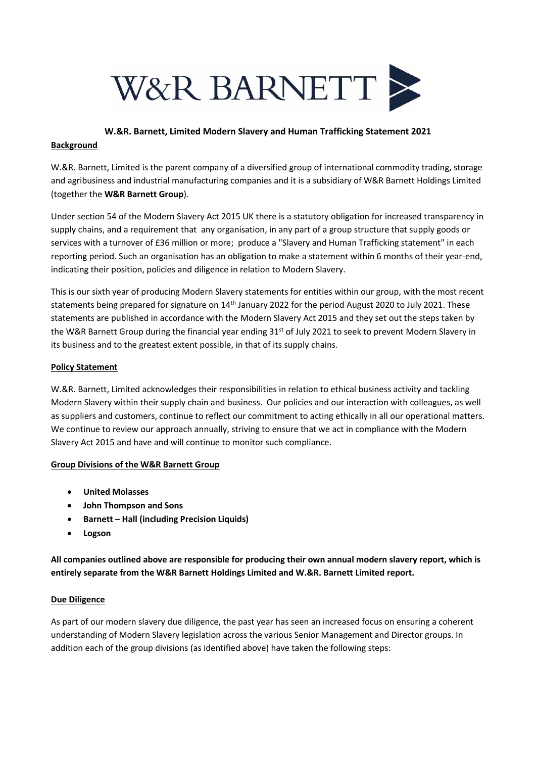

## **W.&R. Barnett, Limited Modern Slavery and Human Trafficking Statement 2021**

## **Background**

W.&R. Barnett, Limited is the parent company of a diversified group of international commodity trading, storage and agribusiness and industrial manufacturing companies and it is a subsidiary of W&R Barnett Holdings Limited (together the **W&R Barnett Group**).

Under section 54 of the Modern Slavery Act 2015 UK there is a statutory obligation for increased transparency in supply chains, and a requirement that any organisation, in any part of a group structure that supply goods or services with a turnover of £36 million or more; produce a "Slavery and Human Trafficking statement" in each reporting period. Such an organisation has an obligation to make a statement within 6 months of their year-end, indicating their position, policies and diligence in relation to Modern Slavery.

This is our sixth year of producing Modern Slavery statements for entities within our group, with the most recent statements being prepared for signature on 14<sup>th</sup> January 2022 for the period August 2020 to July 2021. These statements are published in accordance with the Modern Slavery Act 2015 and they set out the steps taken by the W&R Barnett Group during the financial year ending  $31^{st}$  of July 2021 to seek to prevent Modern Slavery in its business and to the greatest extent possible, in that of its supply chains.

# **Policy Statement**

W.&R. Barnett, Limited acknowledges their responsibilities in relation to ethical business activity and tackling Modern Slavery within their supply chain and business. Our policies and our interaction with colleagues, as well as suppliers and customers, continue to reflect our commitment to acting ethically in all our operational matters. We continue to review our approach annually, striving to ensure that we act in compliance with the Modern Slavery Act 2015 and have and will continue to monitor such compliance.

# **Group Divisions of the W&R Barnett Group**

- **United Molasses**
- **John Thompson and Sons**
- **Barnett – Hall (including Precision Liquids)**
- **Logson**

**All companies outlined above are responsible for producing their own annual modern slavery report, which is entirely separate from the W&R Barnett Holdings Limited and W.&R. Barnett Limited report.**

# **Due Diligence**

As part of our modern slavery due diligence, the past year has seen an increased focus on ensuring a coherent understanding of Modern Slavery legislation across the various Senior Management and Director groups. In addition each of the group divisions (as identified above) have taken the following steps: